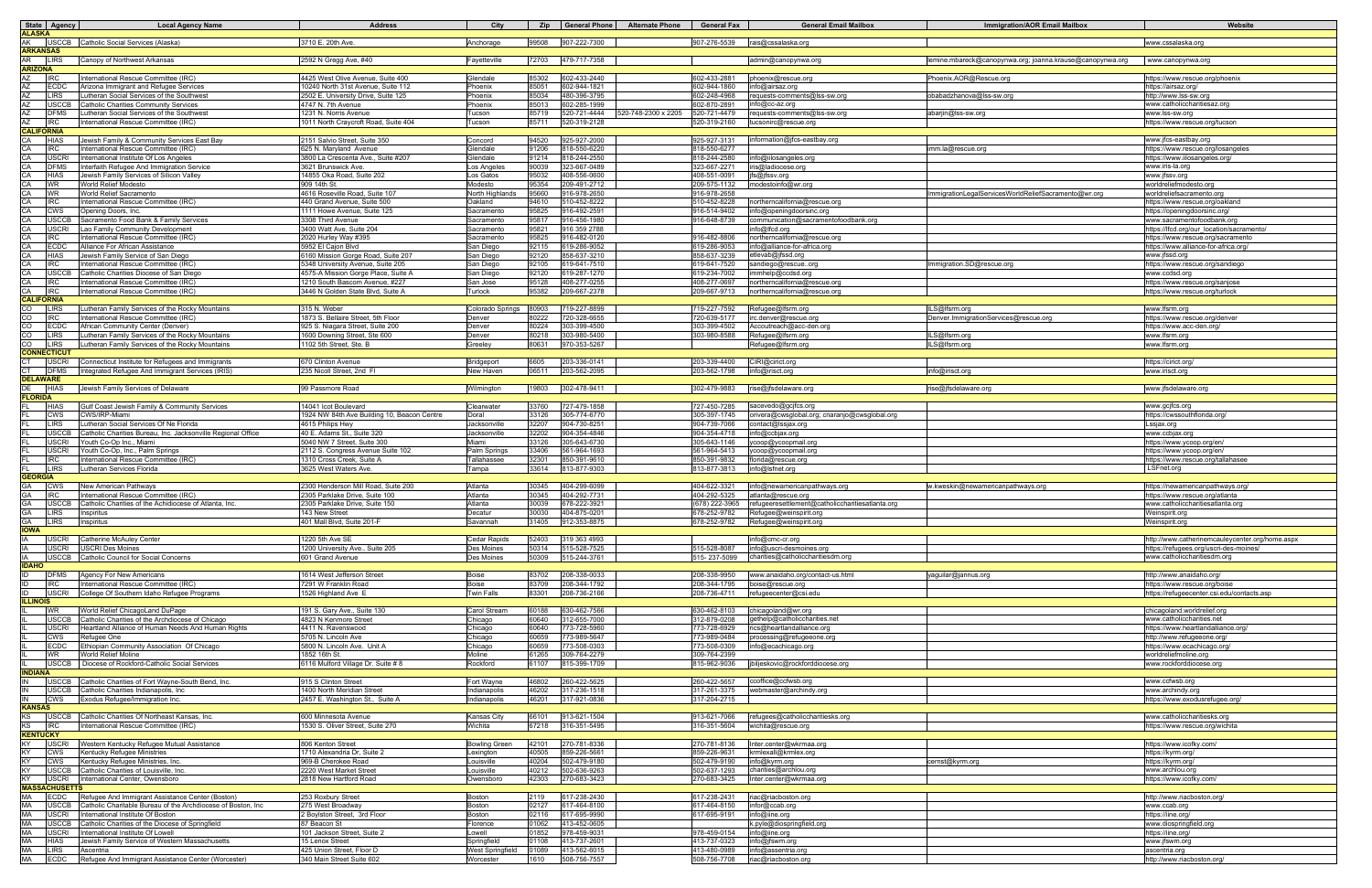| State Agency                                 | <b>Local Agency Name</b>                                                                                 | <b>Address</b>                                                        | City                          |                |                              | Zip General Phone Alternate Phone | <b>General Fax</b>           | <b>General Email Mailbox</b>                                           | <b>Immigration/AOR Email Mailbox</b>                      | Website                                                                   |
|----------------------------------------------|----------------------------------------------------------------------------------------------------------|-----------------------------------------------------------------------|-------------------------------|----------------|------------------------------|-----------------------------------|------------------------------|------------------------------------------------------------------------|-----------------------------------------------------------|---------------------------------------------------------------------------|
| <b>ALASKA</b>                                | AK USCCB Catholic Social Services (Alaska)                                                               | 3710 E. 20th Ave.                                                     | Anchorage                     | 99508          | 907-222-7300                 |                                   | 907-276-5539                 | rais@cssalaska.org                                                     |                                                           | www.cssalaska.org                                                         |
| <b>ARKANSAS</b>                              |                                                                                                          |                                                                       |                               |                |                              |                                   |                              |                                                                        |                                                           |                                                                           |
| AR LIRS<br><b>ARIZONA</b>                    | Canopy of Northwest Arkansas                                                                             | 2592 N Gregg Ave, #40                                                 | Favetteville                  | 72703          | 479-717-7358                 |                                   |                              | admin@canopynwa.org                                                    | lemine.mbareck@canopynwa.org; joanna.krause@canopynwa.org | www.canopynwa.org                                                         |
| AZ<br><b>IRC</b>                             | nternational Rescue Committee (IRC)                                                                      | 4425 West Olive Avenue, Suite 400                                     | Glendale                      | 85302          | 602-433-2440                 |                                   | 602-433-2881                 | phoenix@rescue.org                                                     | Phoenix.AOR@Rescue.org                                    | nttps://www.rescue.org/phoenix                                            |
| AZ<br><b>IECDC</b>                           | Arizona Immigrant and Refugee Services                                                                   | 10240 North 31st Avenue, Suite 112                                    | Phoenix                       | 85051          | 602-944-1821                 |                                   | 602-944-1860                 | fo@airsaz.org                                                          |                                                           | https://airsaz.org/                                                       |
| <b>LIRS</b><br><b>USCCB</b><br>AZ            | utheran Social Services of the Southwest<br><b>Catholic Charities Community Services</b>                 | 2502 E. University Drive, Suite 125<br>4747 N. 7th Avenue             | Phoenix<br>Phoenix            | 85034<br>85013 | 480-396-3795<br>602-285-1999 |                                   | 302-248-4968<br>602-870-2891 | equests-comments@lss-sw.org<br>ifo@cc-az.org                           | babadzhanova@lss-sw.org                                   | http://www.lss-sw.org<br>www.catholiccharitiesaz.org                      |
| <b>DFMS</b><br>AZ                            | Lutheran Social Services of the Southwest                                                                | 1231 N. Norris Avenue                                                 | Tucson                        | 85719          | 520-721-4444                 | 520-748-2300 x 2205               | 520-721-4479                 | requests-comments@lss-sw.org                                           | abarjin@lss-sw.org                                        | www.lss-sw.org                                                            |
| <b>IRC</b><br>AZ                             | International Rescue Committee (IRC)                                                                     | 1011 North Craycroft Road, Suite 404                                  | Tucson                        | 85711          | 520-319-2128                 |                                   | 520-319-2160                 | tucsonirc@rescue.org                                                   |                                                           | https://www.rescue.org/tucson                                             |
| CALIFORNIA<br><b>HIAS</b><br>CA              | Jewish Family & Community Services East Bay                                                              | 2151 Salvio Street, Suite 350                                         | Concord                       | 94520          | 925-927-2000                 |                                   | 925-927-3131                 | information@jfcs-eastbay.org                                           |                                                           | www.jfcs-eastbay.org                                                      |
| <b>IRC</b>                                   | nternational Rescue Committee (IRC)                                                                      | 625 N. Marvland Avenue                                                | Glendale                      | 91206          | 318-550-6220                 |                                   | 818-550-6277                 |                                                                        | mm.la@rescue.org                                          | https://www.rescue.org/losangeles                                         |
| CA<br><b>USCRI</b>                           | International Institute Of Los Angeles                                                                   | 3800 La Crescenta Ave., Suite #207                                    | Glendale                      | 91214          | 318-244-2550                 |                                   | 818-244-2580                 | nfo@iilosangeles.org                                                   |                                                           | https://www.iilosangeles.org/                                             |
| <b>DFMS</b><br>CA<br><b>HIAS</b><br>CA       | Interfaith Refugee And Immigration Service<br>Jewish Family Services of Silicon Valley                   | 3621 Brunswick Ave.<br>14855 Oka Road, Suite 202                      | Los Angeles<br>Los Gatos      | 90039<br>95032 | 323-667-0489<br>408-556-0600 |                                   | 323-667-2271<br>408-551-0091 | s@ladiocese.org<br>@ifssv.org                                          |                                                           | www.iris-la.org<br>www.jfssv.org                                          |
| <b>WR</b><br>CA                              | World Relief Modesto                                                                                     | 909 14th St.                                                          | Modesto                       | 95354          | 209-491-2712                 |                                   | 209-575-1132                 | modestoinfo@wr.org                                                     |                                                           | worldreliefmodesto.org                                                    |
| <b>WR</b><br>CA                              | World Relief Sacramento                                                                                  | 4616 Roseville Road, Suite 107                                        | North Highlands               | 95660          | 916-978-2650                 |                                   | 916-978-2658                 |                                                                        | nmigrationLegalServicesWorldReliefSacramento@wr.org       | worldreliefsacramento.org                                                 |
| CA<br><b>IRC</b><br>CA<br><b>CWS</b>         | International Rescue Committee (IRC)<br>Opening Doors, Inc.                                              | 440 Grand Avenue, Suite 500<br>1111 Howe Avenue, Suite 125            | Oakland<br>Sacramento         | 94610<br>95825 | 510-452-8222<br>916-492-2591 |                                   | 510-452-8228<br>916-514-9402 | northerncalifornia@rescue.org<br>fo@openingdoorsinc.org                |                                                           | https://www.rescue.org/oakland<br>https://openingdoorsinc.org/            |
| <b>USCCB</b>                                 | Sacramento Food Bank & Family Services                                                                   | 3308 Third Avenue                                                     | Sacramento                    | 95817          | 916-456-1980                 |                                   | 916-648-8739                 | :ommunication@sacramentofoodbank.org                                   |                                                           | www.sacramentofoodbank.org                                                |
| CA<br><b>USCRI</b>                           | Lao Family Community Development                                                                         | 3400 Watt Ave, Suite 204                                              | Sacramento                    | 95821          | 916 359 2788                 |                                   |                              | າfo@lfcd.org                                                           |                                                           | https://lfcd.org/our_location/sacramento/                                 |
| CA<br><b>IRC</b><br><b>IECDC</b>             | nternational Rescue Committee (IRC)<br>Alliance For African Assistance                                   | 2020 Hurley Way #395<br>5952 El Caion Blvd                            | Sacramento<br>San Diego       | 95825<br>92115 | 916-482-0120<br>319-286-9052 |                                   | 916-482-8806<br>619-286-9053 | northerncalifornia@rescue.org<br>fo@alliance-for-africa.org            |                                                           | https://www.rescue.org/sacramento<br>/1ttps://www.alliance-for-africa.org |
| CA<br><b>HIAS</b>                            | Jewish Family Service of San Diego                                                                       | 6160 Mission Gorge Road, Suite 207                                    | San Diego                     | 92120          | 358-637-3210                 |                                   | 858-637-3239                 | etlevab@jfssd.org                                                      |                                                           | www.jfssd.org                                                             |
| <b>IRC</b><br>CA                             | International Rescue Committee (IRC)                                                                     | 5348 University Avenue, Suite 205                                     | San Diego                     | 92105          | 619-641-7510                 |                                   | 319-641-7520                 | andiego@rescueorg                                                      | nmigration.SD@rescue.org                                  | https://www.rescue.org/sandiego                                           |
| <b>USCCB</b><br><b>IRC</b><br>CA             | Catholic Charities Diocese of San Diego<br>International Rescue Committee (IRC)                          | 4575-A Mission Gorge Place, Suite A<br>1210 South Bascom Avenue, #227 | San Diego<br>San Jose         | 92120<br>95128 | 319-287-1270<br>408-277-0255 |                                   | 619-234-7002<br>408-277-0697 | nmhelp@ccdsd.org                                                       |                                                           | www.ccdsd.org                                                             |
| <b>IRC</b><br>CA                             | International Rescue Committee (IRC)                                                                     | 3446 N Golden State Blvd, Suite A                                     | Turlock                       | 95382          | 209-667-2378                 |                                   | 209-667-9713                 | northerncalifornia@rescue.org<br>northerncalifornia@rescue.org         |                                                           | https://www.rescue.org/sanjose<br>https://www.rescue.org/turlock          |
| <b>CALIFORNIA</b>                            |                                                                                                          |                                                                       |                               |                |                              |                                   |                              |                                                                        |                                                           |                                                                           |
| CO<br><b>ILIRS</b><br><b>IRC</b><br>COL      | Lutheran Family Services of the Rocky Mountains<br>nternational Rescue Committee (IRC)                   | 315 N. Weber<br>1873 S. Bellaire Street, 5th Floor                    | Colorado Springs<br>Denver    | 80903<br>80222 | 719-227-8899<br>720-328-6655 |                                   | 719-227-7592<br>720-639-5177 | Refugee@lfsrm.org                                                      | ILS@lfsrm.ora<br>0enver.ImmigrationServices@rescue.org    | www.lfsrm.org                                                             |
| <b>IECDC</b><br>CO                           | African Community Center (Denver                                                                         | 925 S. Niagara Street, Suite 200                                      | Denver                        | 80224          | 303-399-4500                 |                                   | 303-399-4502                 | rc.denver@rescue.org<br>Accoutreach@acc-den.org                        |                                                           | https://www.rescue.org/denver<br>https://www.acc-den.org                  |
| CO<br><b>LIRS</b>                            | Lutheran Family Services of the Rocky Mountains                                                          | 1600 Downing Street, Ste 600                                          | Denver                        | 80218          | 303-980-5400                 |                                   | 303-980-8588                 | Refugee@lfsrm.org                                                      | ILS@lfsrm.org                                             | www.lfsrm.org                                                             |
| <b>LIRS</b><br>CO<br><b>CONNECTICUT</b>      | Lutheran Family Services of the Rocky Mountains                                                          | 1102 5th Street, Ste. B                                               | Greeley                       | 80631          | 970-353-5267                 |                                   |                              | Refugee@lfsrm.org                                                      | LS@lfsrm.org                                              | www.lfsrm.org                                                             |
| CT.<br><b>USCRI</b>                          | Connecticut Institute for Refugees and Immigrants                                                        | 670 Clinton Avenue                                                    | Bridgeport                    | 6605           | 203-336-0141                 |                                   | 203-339-4400                 | CIRI@cirict.org                                                        |                                                           | https://cirict.org/                                                       |
| <b>DFMS</b><br>CT                            | ntegrated Refugee And Immigrant Services (IRIS)                                                          | 235 Nicoll Street, 2nd Fl                                             | New Haven                     | 06511          | 203-562-2095                 |                                   | 203-562-1798                 | info@irisct.org                                                        | info@irisct.org                                           | www.irisct.org                                                            |
| <b>DELAWARE</b><br>DE HIAS                   | Jewish Family Services of Delaware                                                                       | 99 Passmore Road                                                      |                               | 19803          | 302-478-9411                 |                                   | 302-479-9883                 | rise@jfsdelaware.org                                                   | rise@jfsdelaware.org                                      |                                                                           |
| <b>LORIDA</b>                                |                                                                                                          |                                                                       | Wilmington                    |                |                              |                                   |                              |                                                                        |                                                           | www.jfsdelaware.org                                                       |
| <b>HIAS</b>                                  | Gulf Coast Jewish Family & Community Services                                                            | 14041 Icot Boulevard                                                  | Clearwater                    | 33760          | 727-479-1858                 |                                   | 727-450-7285                 | sacevedo@gcjfcs.org                                                    |                                                           | www.gcjfcs.org                                                            |
| <b>CWS</b><br><b>LIRS</b>                    | CWS/IRP-Miami<br>Lutheran Social Services Of Ne Florida                                                  | 1924 NW 84th Ave Building 10, Beacon Centre<br>4615 Philips Hwy       | Doral<br>Jacksonville         | 33126<br>32207 | 305-774-6770<br>904-730-8251 |                                   | 305-397-1745<br>904-739-7066 | orivera@cwsglobal.org; cnaranjo@cwsglobal.org<br>:ontact@lssjax.orc    |                                                           | https://cwssouthflorida.org/<br>Lssjax.org                                |
| <b>USCCB</b>                                 | Catholic Charities Bureau, Inc. Jacksonville Regional Office                                             | 40 E. Adams St., Suite 320                                            | Jacksonville                  | 32202          | 904-354-4846                 |                                   | 904-354-4718                 | າfo@ccbjax.org                                                         |                                                           | www.ccbjax.org                                                            |
| <b>USCRI</b>                                 | Youth Co-Op Inc., Miami                                                                                  | 5040 NW 7 Street, Suite 300                                           | Miami                         | 33126          | 305-643-6730                 |                                   | 305-643-1146                 | coop@ycoopmail.org                                                     |                                                           | https://www.ycoop.org/en/                                                 |
| <b>USCRI</b>                                 | Youth Co-Op, Inc., Palm Springs                                                                          | 2112 S. Congress Avenue Suite 102                                     | Palm Springs                  | 33406          | 561-964-1693                 |                                   | 561-964-5413                 | coop@ycoopmail.or                                                      |                                                           | https://www.ycoop.org/en/                                                 |
| <b>IRC</b><br><b>LIRS</b>                    | International Rescue Committee (IRC)<br>Lutheran Services Florida                                        | 1310 Cross Creek, Suite A<br>3625 West Waters Ave.                    | Tallahassee<br>Tampa          | 32301<br>33614 | 850-391-9610<br>813-877-9303 |                                   | 850-391-9832<br>813-877-3813 | florida@rescue.orc<br>fo@lsfnet.org                                    |                                                           | https://www.rescue.org/tallahasee<br>LSFnet.org                           |
| <b>GEORGIA</b>                               |                                                                                                          |                                                                       |                               |                |                              |                                   |                              |                                                                        |                                                           |                                                                           |
| GA<br><b>CWS</b><br><b>IRC</b>               | New American Pathways<br>nternational Rescue Committee (IRC)                                             | 2300 Henderson Mill Road, Suite 200<br>2305 Parklake Drive, Suite 100 | Atlanta<br>Atlanta            | 30345<br>30345 | 404-299-6099<br>404-292-7731 |                                   | 404-622-3321<br>404-292-5325 | info@newamericanpathways.org                                           | w.kweskin@newamericanpathways.org                         | https://newamericanpathways.org                                           |
| <b>GA</b><br><b>USCCB</b>                    | Catholic Charities of the Achidiocese of Atlanta. Inc.                                                   | 2305 Parklake Drive, Suite 150                                        | Atlanta                       | 30039          | 378-222-3921                 |                                   | (678) 222-3965               | atlanta@rescue.org<br>refugeeresettlement@catholiccharitiesatlanta.org |                                                           | https://www.rescue.org/atlanta<br>www.catholiccharitiesatlanta.org        |
| <b>GA</b><br><b>LIRS</b>                     | Inspiritus                                                                                               | 143 New Street                                                        | Decatur                       | 30030          | 404-875-0201                 |                                   | 678-252-9782                 | Refugee@weinspirit.org                                                 |                                                           | Weinspirit.org                                                            |
| <b>IOWA</b>                                  | GA LIRS Inspiritus                                                                                       | 401 Mall Blvd, Suite 201-F                                            | savannan                      |                | 31405 912-353-8875           |                                   | 678-252-9782                 | $R$ elugee $\omega$ weinspint.org                                      |                                                           | <b><i>VVelrispirit.org</i></b>                                            |
| IA                                           | USCRI Catherine McAuley Center                                                                           | 1220 5th Ave SE                                                       | <b>Cedar Rapids</b>           | 52403          | 319 363 4993                 |                                   |                              | info@cmc-cr.org                                                        |                                                           | http://www.catherinemcaulevcenter.org/home.aspx                           |
| <b>USCRI</b>                                 | <b>USCRI Des Moines</b>                                                                                  | 1200 University Ave., Suite 205                                       | Des Moines                    | 50314          | 515-528-7525                 |                                   | 515-528-8087                 | info@uscri-desmoines.org                                               |                                                           | https://refugees.org/uscri-des-moines/                                    |
| <b>IDAHO</b>                                 | USCCB Catholic Council for Social Concerns                                                               | 601 Grand Avenue                                                      | Des Moines                    | 50309          | 515-244-3761                 |                                   | 515-237-5099                 | charities@catholiccharitiesdm.org                                      |                                                           | www.catholiccharitiesdm.org                                               |
| <b>DFMS</b><br>ID                            | <b>Agency For New Americans</b>                                                                          | 1614 West Jefferson Street                                            | Boise                         | 83702          | 208-338-0033                 |                                   | 208-338-9950                 | www.anaidaho.org/contact-us.html                                       | /aguilar@jannus.org                                       | http://www.anaidaho.org/                                                  |
| <b>IRC</b><br>ID                             | International Rescue Committee (IRC)                                                                     | 7291 W Franklin Road                                                  | Boise                         | 83709          | 208-344-1792                 |                                   | 208-344-1795                 | boise@rescue.org                                                       |                                                           | https://www.rescue.org/boise                                              |
| <b>ID</b><br><b>ILLINOIS</b>                 | USCRI College Of Southern Idaho Refugee Programs                                                         | 1526 Highland Ave E                                                   | <b>Twin Falls</b>             | 83301          | 208-736-2166                 |                                   | 208-736-4711                 | refugeecenter@csi.edu                                                  |                                                           | https://refugeecenter.csi.edu/contacts.asp                                |
| <b>WR</b>                                    | World Relief ChicagoLand DuPage                                                                          | 191 S. Gary Ave., Suite 130                                           | Carol Stream                  | 60188          | 630-462-7566                 |                                   | 630-462-8103                 | chicagoland@wr.org                                                     |                                                           | chicagoland.worldrelief.org                                               |
| <b>USCCB</b>                                 | Catholic Charities of the Archdiocese of Chicago                                                         | 4823 N Kenmore Street                                                 | Chicago                       | 60640          | 312-655-7000                 |                                   | 312-879-0208                 | gethelp@catholiccharities.net                                          |                                                           | www.catholiccharities.net                                                 |
| <b>USCRI</b><br>CWS                          | Heartland Alliance of Human Needs And Human Rights<br>Refugee One                                        | 4411 N. Ravenswood<br>5705 N. Lincoln Ave                             | Chicago<br>Chicago            | 60640<br>60659 | 773-728-5960<br>773-989-5647 |                                   | 773-728-6929<br>773-989-0484 | rics@heartlandalliance.org<br>processing@refugeeone.org                |                                                           | https://www.heartlandalliance.org/<br>http://www.refugeeone.org/          |
| <b>ECDC</b>                                  | Ethiopian Community Association Of Chicago                                                               | 5800 N. Lincoln Ave. Unit A                                           | Chicago                       | 60659          | 773-508-0303                 |                                   | 773-508-0309                 | nfo@ecachicago.org                                                     |                                                           | https://www.ecachicago.org/                                               |
| <b>IWR</b>                                   | <b>World Relief Moline</b>                                                                               | 1852 16th St.                                                         | Moline                        | 61265          | 309-764-2279                 |                                   | 309-764-2399                 |                                                                        |                                                           | worldreliefmoline.org                                                     |
| <b>INDIANA</b>                               | USCCB Diocese of Rockford-Catholic Social Services                                                       | 6116 Mulford Village Dr. Suite #8                                     | Rockford                      | 61107          | 815-399-1709                 |                                   | 815-962-9036                 | jbiljeskovic@rockforddiocese.org                                       |                                                           | www.rockforddiocese.org                                                   |
|                                              | USCCB Catholic Charities of Fort Wayne-South Bend, Inc.                                                  | 915 S Clinton Street                                                  | Fort Wayne                    | 46802          | 260-422-5625                 |                                   | 260-422-5657                 | ccoffice@ccfwsb.org                                                    |                                                           | www.ccfwsb.org                                                            |
| <b>USCCB</b>                                 | Catholic Charities Indianapolis, Inc.                                                                    | 1400 North Meridian Street                                            | Indianapolis                  | 46202          | 317-236-1518                 |                                   | 317-261-3375                 | webmaster@archindy.org                                                 |                                                           | www.archindy.org                                                          |
| IN<br><b>CWS</b><br>KANSAS                   | Exodus Refugee/Immigration Inc.                                                                          | 2457 E. Washington St., Suite A                                       | Indianapolis                  | 46201          | 317-921-0836                 |                                   | 317-204-2715                 |                                                                        |                                                           | https://www.exodusrefugee.org/                                            |
| <b>KS</b>                                    | USCCB Catholic Charities Of Northeast Kansas, Inc.                                                       | 600 Minnesota Avenue                                                  | Kansas City                   | 66101          | 913-621-1504                 |                                   | 913-621-7066                 | refugees@catholiccharitiesks.org                                       |                                                           | www.catholiccharitiesks.org                                               |
| KS IRC                                       | International Rescue Committee (IRC)                                                                     | 1530 S. Oliver Street, Suite 270                                      | Wichita                       | 67218          | 316-351-5495                 |                                   | 316-351-5604                 | wichita@rescue.org                                                     |                                                           | https://www.rescue.org/wichita                                            |
| <b>KENTUCKY</b><br><b>KY</b><br><b>USCRI</b> | Western Kentucky Refugee Mutual Assistance                                                               | 806 Kenton Street                                                     | <b>Bowling Green</b>          | 42101          | 270-781-8336                 |                                   | 270-781-8136                 | Inter.center@wkrmaa.org                                                |                                                           | https://www.icofky.com/                                                   |
| <b>CWS</b><br>KY .                           | Kentucky Refugee Ministries                                                                              | 1710 Alexandria Dr, Suite 2                                           | Lexington                     | 40505          | 359-226-5661                 |                                   | 859-226-9631                 | rmlexall@krmlex.org                                                    |                                                           | https://kyrm.org/                                                         |
| <b>CWS</b><br>KY                             | Kentucky Refugee Ministries, Inc.                                                                        | 969-B Cherokee Road                                                   | Louisville                    | 40204          | 502-479-9180                 |                                   | 502-479-9190                 | ıfo@kyrm.org                                                           | ernst@kyrm.org                                            | https://kyrm.org/                                                         |
| KY<br><b>USCRI</b><br>KY 1                   | USCCB Catholic Charities of Louisville, Inc.<br>International Center, Owensboro                          | 2220 West Market Street<br>2818 New Hartford Road                     | Louisville<br>Owensboro       | 40212<br>42303 | 502-636-9263<br>270-683-3423 |                                   | 502-637-1293<br>270-683-3425 | charities@archlou.org<br>Inter.center@wkrmaa.org                       |                                                           | www.archlou.org<br>https://www.icofky.com/                                |
| <b>MASSACHUSETTS</b>                         |                                                                                                          |                                                                       |                               |                |                              |                                   |                              |                                                                        |                                                           |                                                                           |
| MA<br>ECDC                                   | Refugee And Immigrant Assistance Center (Boston)                                                         | 253 Roxbury Street                                                    | Boston                        | 2119           | 617-238-2430                 |                                   | 617-238-2431                 | riac@riacboston.org                                                    |                                                           | http://www.riacboston.org/                                                |
| MA<br>MA<br><b>USCRI</b>                     | USCCB Catholic Charitable Bureau of the Archdiocese of Boston, Inc.<br>International Institute Of Boston | 275 West Broadway<br>2 Bovlston Street. 3rd Floor                     | Boston<br>Boston              | 02127<br>02116 | 617-464-8100<br>617-695-9990 |                                   | 617-464-8150<br>617-695-9191 | infor@ccab.org<br>info@iine.org                                        |                                                           | www.ccab.org<br>https://iine.org/                                         |
| MA                                           | USCCB Catholic Charities of the Diocese of Springfield                                                   | 87 Beacon St                                                          | Florence                      | 01062          | 413-452-0605                 |                                   |                              | k.pyle@diospringfield.org                                              |                                                           | www.diospringfield.org                                                    |
| MA<br><b>USCRI</b>                           | International Institute Of Lowell                                                                        | 101 Jackson Street, Suite 2                                           | Lowell                        | 01852          | 978-459-9031                 |                                   | 978-459-0154                 | nfo@iine.org                                                           |                                                           | https://iine.org/                                                         |
| <b>MA</b><br><b>HIAS</b><br>MA LIRS          | Jewish Family Service of Western Massachusetts<br>Ascentria                                              | 15 Lenox Street<br>425 Union Street, Floor D                          | Springfield                   | 01108<br>01089 | 413-737-2601                 |                                   | 413-737-0323<br>413-480-0989 | fo@jfswm.org                                                           |                                                           | www.jfswm.org                                                             |
|                                              | MA ECDC Refugee And Immigrant Assistance Center (Worcester)                                              | 340 Main Street Suite 602                                             | West Springfield<br>Worcester | 1610           | 413-562-6015<br>508-756-7557 |                                   | 508-756-7708                 | info@assentria.org<br>riac@riacboston.org                              |                                                           | ascentria.org<br>http://www.riacboston.org/                               |
|                                              |                                                                                                          |                                                                       |                               |                |                              |                                   |                              |                                                                        |                                                           |                                                                           |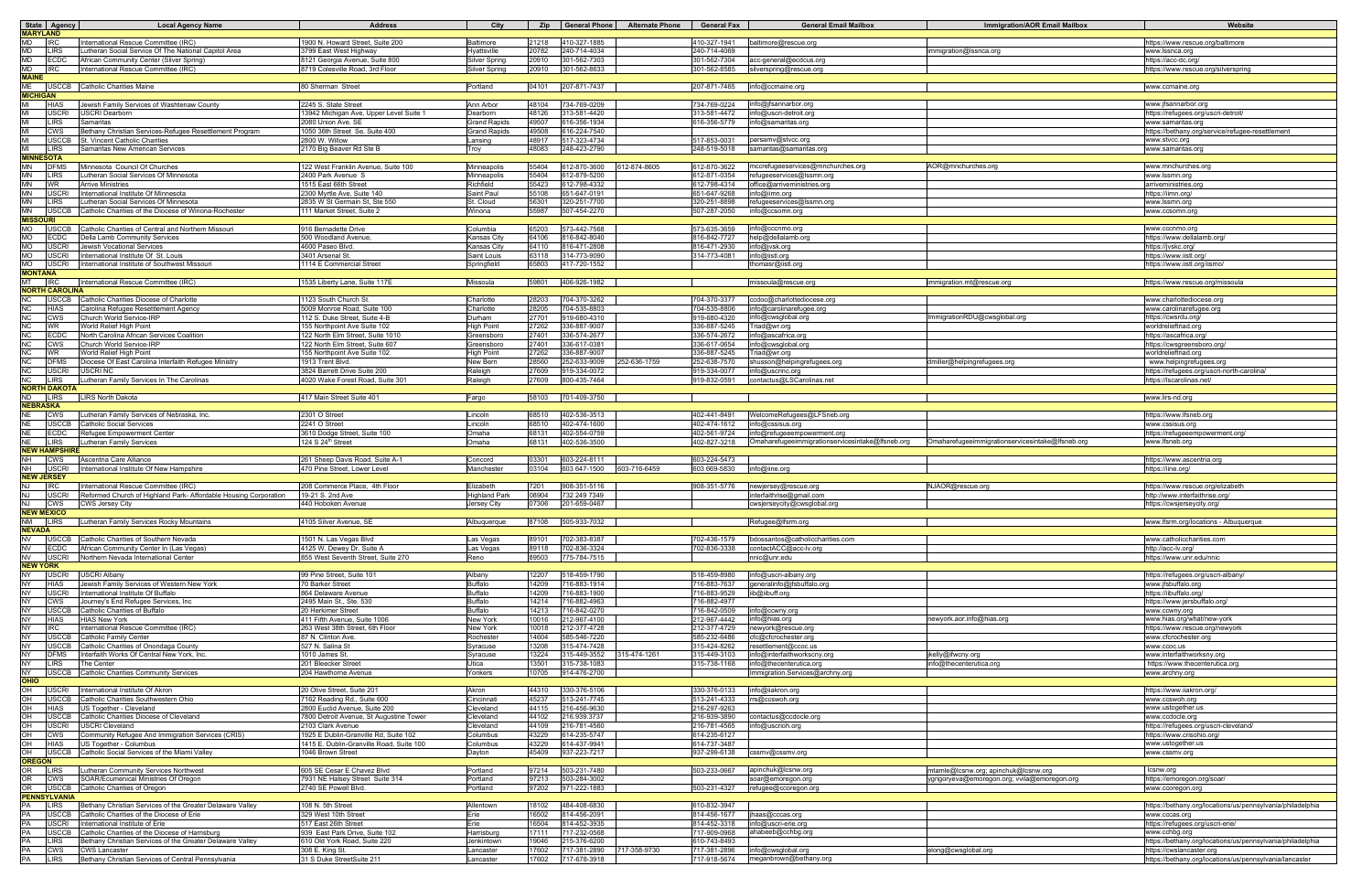| State Agency                                                                                                                                       | <b>Local Agency Name</b>                                                                         | <b>Address</b>                                                           | City                                       |                | Zip   General Phone          | <b>Alternate Phone</b> | <b>General Fax</b>           | <b>General Email Mailbox</b>                        | <b>Immigration/AOR Email Mailbox</b>             | Website                                                                                |
|----------------------------------------------------------------------------------------------------------------------------------------------------|--------------------------------------------------------------------------------------------------|--------------------------------------------------------------------------|--------------------------------------------|----------------|------------------------------|------------------------|------------------------------|-----------------------------------------------------|--------------------------------------------------|----------------------------------------------------------------------------------------|
| <b>MARYLAND</b>                                                                                                                                    |                                                                                                  |                                                                          |                                            |                |                              |                        |                              |                                                     |                                                  |                                                                                        |
| MD<br><b>IRC</b>                                                                                                                                   | International Rescue Committee (IRC)                                                             | 1900 N. Howard Street, Suite 200                                         | Baltimore                                  | 21218          | 410-327-1885                 |                        | 410-327-1941                 | baltimore@rescue.org                                |                                                  | https://www.rescue.org/baltimore                                                       |
| MD<br><b>LIRS</b><br>MD<br><b>ECDC</b>                                                                                                             | Lutheran Social Service Of The National Capitol Area<br>African Community Center (Silver Spring) | 3799 East West Highway<br>8121 Georgia Avenue, Suite 800                 | Hyattsville<br><b>Silver Spring</b>        | 20782<br>20910 | 240-714-4034<br>301-562-7303 |                        | 240-714-4069<br>301-562-7304 | acc-general@ecdcus.org                              | nmigration@Issnca.org                            | www.lssnca.org<br>https://acc-dc.org                                                   |
| MD                                                                                                                                                 | International Rescue Committee (IRC)                                                             | 8719 Colesville Road, 3rd Floor                                          | <b>Silver Spring</b>                       | 20910          | 301-562-8633                 |                        | 301-562-8585                 | silverspring@rescue.org                             |                                                  | https://www.rescue.org/silverspring                                                    |
| <b>MAINE</b>                                                                                                                                       |                                                                                                  |                                                                          |                                            |                |                              |                        |                              |                                                     |                                                  |                                                                                        |
| МE<br>USCCB Catholic Charities Maine<br>04101 207-871-7437<br>info@ccmaine.org<br>80 Sherman Street<br>Portland<br>207-871-7465<br>www.ccmaine.org |                                                                                                  |                                                                          |                                            |                |                              |                        |                              |                                                     |                                                  |                                                                                        |
| <b>MICHIGAN</b>                                                                                                                                    |                                                                                                  |                                                                          |                                            |                |                              |                        |                              |                                                     |                                                  |                                                                                        |
| <b>HIAS</b>                                                                                                                                        | Jewish Family Services of Washtenaw County                                                       | 2245 S. State Street                                                     | Ann Arbor                                  | 48104          | 734-769-0209                 |                        | 734-769-0224                 | info@jfsannarbor.org                                |                                                  | www.jfsannarbor.org                                                                    |
| <b>USCRI</b>                                                                                                                                       | <b>JSCRI Dearborn</b>                                                                            | 3942 Michigan Ave, Upper Level Suite                                     | <b>Dearborr</b>                            | 48126          | 313-581-4420                 |                        | 313-581-4472                 | info@uscri-detroit.org                              |                                                  | https://refugees.org/uscri-detroit/                                                    |
| LIRS<br><b>CWS</b>                                                                                                                                 | Samaritas<br>Bethany Christian Services-Refugee Resettlement Program                             | 2080 Union Ave. SE<br>050 36th Street Se, Suite 400                      | <b>Grand Rapids</b><br><b>Grand Rapids</b> | 49507<br>49508 | 616-356-1934<br>616-224-7540 |                        | 616-356-5779                 | info@samaritas.org                                  |                                                  | www.samaritas.org<br>https://bethany.org/service/refugee-resettlement                  |
| JSCCB                                                                                                                                              | St. Vincent Catholic Charities                                                                   | 2800 W. Willow                                                           | ansing                                     | 48917          | 517-323-4734                 |                        | 517-853-0031                 | parsamv@stvcc.org                                   |                                                  | www.stvcc.org                                                                          |
| <b>LIRS</b>                                                                                                                                        | Samaritas New American Services                                                                  | 2170 Big Beaver Rd Ste B                                                 | Troy                                       | 48083          | 248-423-2790                 |                        | 248-519-5018                 | samaritas@samaritas.org                             |                                                  | www.samaritas.org                                                                      |
| <b>MINNESOTA</b>                                                                                                                                   |                                                                                                  |                                                                          |                                            |                |                              |                        |                              |                                                     |                                                  |                                                                                        |
| MN<br><b>DFMS</b>                                                                                                                                  | Minnesota Council Of Churches                                                                    | 122 West Franklin Avenue, Suite 100                                      | Minneapolis                                | 55404          | 612-870-3600                 | 612-874-8605           | 612-870-3622                 | mccrefugeeservices@mnchurches.org                   | AOR@mnchurches.ord                               | www.mnchurches.org                                                                     |
| ΜN<br><b>LIRS</b>                                                                                                                                  | Lutheran Social Services Of Minnesota                                                            | 2400 Park Avenue S                                                       | Minneapolis                                | 55404          | 612-879-5200                 |                        | 612-871-0354                 | refugeeservices@lssmn.org                           |                                                  | www.lssmn.org                                                                          |
| ΜN<br><b>WR</b><br>MN<br><b>USCRI</b>                                                                                                              | <b>Arrive Ministries</b><br>International Institute Of Minnesota                                 | 1515 East 66th Street<br>2300 Myrtle Ave, Suite 140                      | Richfield<br>Saint Paul                    | 55423<br>55108 | 612-798-4332<br>651-647-0191 |                        | 612-798-4314<br>651-647-9268 | office@arriveministries.org<br>info@iimn.org        |                                                  | arriveministries.org                                                                   |
| ΜN<br><b>LIRS</b>                                                                                                                                  | Lutheran Social Services Of Minnesota                                                            | 2835 W St Germain St. Ste 550                                            | St. Cloud                                  | 56301          | 320-251-7700                 |                        | 320-251-8898                 | refugeeservices@Issmn.org                           |                                                  | https://iimn.org/<br>www.lssmn.org                                                     |
| ΜN<br><b>USCCB</b>                                                                                                                                 | Catholic Charities of the Diocese of Winona-Rochester                                            | 11 Market Street, Suite 2                                                | Winona                                     | 55987          | 507-454-2270                 |                        | 507-287-2050                 | info@ccsomn.org                                     |                                                  | www.ccsomn.org                                                                         |
| <b>MISSOURI</b>                                                                                                                                    |                                                                                                  |                                                                          |                                            |                |                              |                        |                              |                                                     |                                                  |                                                                                        |
| МO<br>JSCCB                                                                                                                                        | Catholic Charities of Central and Northern Missouri                                              | 916 Bernadette Drive                                                     | Columbia                                   | 65203          | 573-442-7568                 |                        | 573-635-3659                 | info@cccnmo.org                                     |                                                  | www.cccnmo.org                                                                         |
| МO<br>ECDC                                                                                                                                         | Della Lamb Community Services                                                                    | 500 Woodland Avenue.                                                     | Kansas City                                | 64106          | 316-842-8040                 |                        | 316-842-7727                 | help@dellalamb.org                                  |                                                  | https://www.dellalamb.org                                                              |
| МO<br>USCRI                                                                                                                                        | Jewish Vocational Services                                                                       | 4600 Paseo Blvd.                                                         | Kansas City                                | 64110          | 816-471-2808                 |                        | 816-471-2930                 | info@jvsk.org                                       |                                                  | https://jvskc.org                                                                      |
| МO<br>JSCRI<br>MO<br>USCRI                                                                                                                         | International Institute Of St. Louis<br>International Institute of Southwest Missouri            | 3401 Arsenal St<br>1114 E Commercial Street                              | Saint Louis<br>Springfield                 | 63118<br>65803 | 314-773-9090<br>417-720-1552 |                        | 314-773-4081                 | info@iistl.org<br>thomasr@iistl.org                 |                                                  | https://www.iistl.org<br>https://www.iistl.org/iismo/                                  |
| <b>MONTANA</b>                                                                                                                                     |                                                                                                  |                                                                          |                                            |                |                              |                        |                              |                                                     |                                                  |                                                                                        |
| МT<br><b>IRC</b>                                                                                                                                   | International Rescue Committee (IRC)                                                             | 1535 Liberty Lane, Suite 117E                                            | Missoula                                   | 59801          | 406-926-1982                 |                        |                              | missoula@rescue.org                                 | immigration.mt@rescue.org                        | https://www.rescue.org/missoula                                                        |
| <b>NORTH CAROLINA</b>                                                                                                                              |                                                                                                  |                                                                          |                                            |                |                              |                        |                              |                                                     |                                                  |                                                                                        |
| ΝC<br>USCCB                                                                                                                                        | Catholic Charities Diocese of Charlotte                                                          | 123 South Church St.                                                     | Charlotte                                  | 28203          | 704-370-3262                 |                        | 704-370-3377                 | ccdoc@charlottediocese.org                          |                                                  | www.charlottediocese.org                                                               |
| ΝC<br><b>HIAS</b>                                                                                                                                  | Carolina Refugee Resettlement Agency                                                             | 5009 Monroe Road, Suite 100                                              | Charlotte                                  | 28205          | 704-535-8803                 |                        | 704-535-8806                 | info@carolinarefugee.org                            |                                                  | www.carolinarefugee.org                                                                |
| NC<br><b>CWS</b><br>NС<br><b>WR</b>                                                                                                                | Church World Service-IRP<br>World Relief High Point                                              | 12 S. Duke Street. Suite 4-B<br>55 Northpoint Ave Suite 102              | Durham<br>ligh Point                       | 27701<br>27262 | 919-680-4310<br>336-887-9007 |                        | 919-680-4320<br>336-887-5245 | info@cwsglobal.org<br>Triad@wr.org                  | mmigrationRDU@cwsglobal.org                      | https://cwsrdu.org/<br>worldrelieftriad.org                                            |
| NC<br><b>ECDC</b>                                                                                                                                  | North Carolina African Services Coalition                                                        | 22 North Elm Street, Suite 1010                                          | Greensboro                                 | 27401          | 336-574-2677                 |                        | 336-574-2672                 | info@ascafrica.org                                  |                                                  | https://ascafrica.org                                                                  |
| NC<br><b>CWS</b>                                                                                                                                   | Church World Service-IRP                                                                         | 22 North Elm Street, Suite 607                                           | Greensboro                                 | 27401          | 336-617-0381                 |                        | 336-617-0654                 | info@cwsglobal.org                                  |                                                  | https://cwsgreensboro.org/                                                             |
| ΝC<br><b>WR</b>                                                                                                                                    | World Relief High Point                                                                          | 55 Northpoint Ave Suite 102                                              | High Point                                 | 27262          | 336-887-9007                 |                        | 336-887-5245                 | Triad@wr.org                                        |                                                  | worldrelieftriad.org                                                                   |
| NC<br><b>DFMS</b>                                                                                                                                  | Diocese Of East Carolina Interfaith Refugee Ministry                                             | 913 Trent Blvd                                                           | New Bern                                   | 28560          | 252-633-9009                 | 52-636-1759            | 252-638-7570                 | shusson@helpingrefugees.org                         | dmiller@helpingrefugees.org                      | www.helpingrefugees.org                                                                |
| NC<br><b>USCRI</b>                                                                                                                                 | USCRI NC                                                                                         | 3824 Barrett Drive Suite 200                                             | Raleigh                                    | 27609          | 919-334-0072                 |                        | 919-334-0077                 | info@uscrinc.org                                    |                                                  | /1ttps://refugees.org/uscri-north-carolina                                             |
| NС<br><b>LIRS</b>                                                                                                                                  | Lutheran Family Services In The Carolinas                                                        | 4020 Wake Forest Road, Suite 301                                         | Raleigh                                    | 27609          | 800-435-7464                 |                        | 919-832-0591                 | contactus@LSCarolinas.net                           |                                                  | https://lscarolinas.net/                                                               |
| <b>NORTH DAKOTA</b><br>ND<br><b>LIRS</b>                                                                                                           | <b>LIRS North Dakota</b>                                                                         | 417 Main Street Suite 401                                                | Fargo                                      | 58103          | 701-409-3750                 |                        |                              |                                                     |                                                  | www.lirs-nd.org                                                                        |
| <b>NEBRASKA</b>                                                                                                                                    |                                                                                                  |                                                                          |                                            |                |                              |                        |                              |                                                     |                                                  |                                                                                        |
| <b>CWS</b><br>NE                                                                                                                                   | Lutheran Family Services of Nebraska, Inc.                                                       | 2301 O Street                                                            | Lincoln                                    | 68510          | 402-536-3513                 |                        | 402-441-8491                 | WelcomeRefugees@LFSneb.org                          |                                                  | https://www.lfsneb.org                                                                 |
| NE<br><b>USCCB</b>                                                                                                                                 | Catholic Social Services                                                                         | 2241 O Street                                                            | _incoln                                    | 68510          | 402-474-1600                 |                        | 402-474-1612                 | info@cssisus.org                                    |                                                  | www.cssisus.org                                                                        |
| ECDC                                                                                                                                               | Refugee Empowerment Center                                                                       | 3610 Dodge Street, Suite 100                                             | Omaha                                      | 68131          | 402-554-0759                 |                        | 402-561-9724                 | info@refugeeempowerment.org                         |                                                  | https://refugeeempowerment.org/                                                        |
| NE<br><b>LIRS</b><br><b>NEW HAMPSHIRE</b>                                                                                                          | Lutheran Family Services                                                                         | 124 S $24^{\text{th}}$ Street                                            | Omaha                                      | 68131          | 402-536-3500                 |                        | 402-827-3218                 | Omaharefugeeimmigrationservicesintake@lfsneb.org    | Omaharefugeeimmigrationservicesintake@lfsneb.org | www.lfsneb.org                                                                         |
| cws                                                                                                                                                | Ascentria Care Alliance                                                                          | 261 Sheep Davis Road, Suite A-1                                          | Concord                                    | 03301          | 603-224-8111                 |                        | 603-224-5473                 |                                                     |                                                  | https://www.ascentria.org                                                              |
| NH<br><b>USCRI</b>                                                                                                                                 | International Institute Of New Hampshire                                                         | 470 Pine Street, Lower Level                                             | Manchester                                 | 03104          | 603 647-1500                 | 603-716-6459           | 603 669-5830                 | info@iine.org                                       |                                                  | https://iine.org/                                                                      |
| <b>NEW JERSEY</b>                                                                                                                                  |                                                                                                  |                                                                          |                                            |                |                              |                        |                              |                                                     |                                                  |                                                                                        |
| NJ<br><b>IRC</b>                                                                                                                                   | International Rescue Committee (IRC)                                                             | 208 Commerce Place, 4th Floor                                            | Elizabeth                                  | 7201           | 908-351-5116                 |                        | 908-351-5776                 | newjersey@rescue.org                                | NJAOR@rescue.org                                 | https://www.rescue.org/elizabeth                                                       |
| USCRI                                                                                                                                              | Reformed Church of Highland Park- Affordable Housing Corporation                                 | 19-21 S. 2nd Ave                                                         | Highland Park                              | 08904          | 732 249 7349                 |                        |                              | interfaithrise@gmail.com                            |                                                  | http://www.interfaithrise.org                                                          |
| NJ<br><b>CWS</b>                                                                                                                                   | <b>CWS Jersey City</b>                                                                           | 440 Hoboken Avenue                                                       | <b>Jersey City</b>                         | 07306          | 201-659-0467                 |                        |                              | cwsjerseycity@cwsglobal.org                         |                                                  | https://cwsjerseycity.org/                                                             |
| <b>NEW MEXICO</b><br><b>LIRS</b>                                                                                                                   | Lutheran Family Services Rocky Mountains                                                         | 4105 Silver Avenue, SE                                                   |                                            |                | 87108 505-933-7032           |                        |                              | <b>IRefugee@Itsrm.org</b>                           |                                                  | www.ifsrm.org/locations - Albuquerque                                                  |
| NM<br><b>NEVADA</b>                                                                                                                                |                                                                                                  |                                                                          | Albuquerque                                |                |                              |                        |                              |                                                     |                                                  |                                                                                        |
| N <sub>V</sub>                                                                                                                                     | USCCB Catholic Charities of Southern Nevada                                                      | 1501 N. Las Vegas Blvd                                                   | Las Vegas                                  | 89101          | 702-383-8387                 |                        | 702-436-1579                 | bdossantos@catholiccharities.com                    |                                                  | www.catholiccharities.com                                                              |
| NV<br><b>ECDC</b>                                                                                                                                  | African Community Center In (Las Vegas)                                                          | 4125 W. Dewey Dr. Suite A                                                | Las Vegas                                  | 89118          | 702-836-3324                 |                        | 702-836-3338                 | contactACC@acc-lv.org                               |                                                  | http://acc-lv.org/                                                                     |
| NV<br><b>USCRI</b>                                                                                                                                 | Northern Nevada International Center                                                             | 855 West Seventh Street, Suite 270                                       | Reno                                       | 89503          | 775-784-7515                 |                        |                              | nnic@unr.edu                                        |                                                  | https://www.unr.edu/nnic                                                               |
| <b>NEW YORK</b>                                                                                                                                    |                                                                                                  |                                                                          |                                            |                |                              |                        |                              |                                                     |                                                  |                                                                                        |
| NY<br>USCRI<br><b>HIAS</b>                                                                                                                         | <b>USCRI Albany</b>                                                                              | 99 Pine Street, Suite 101                                                | Albany<br><b>Buffalo</b>                   | 12207<br>14209 | 518-459-1790<br>716-883-1914 |                        | 518-459-8980<br>716-883-7637 | info@uscri-albany.org<br>generalinfo@jfsbuffalo.org |                                                  | https://refugees.org/uscri-albany/                                                     |
| NY<br><b>USCRI</b><br>NY                                                                                                                           | Jewish Family Services of Western New York<br>International Institute Of Buffalo                 | 70 Barker Street<br>864 Delaware Avenue                                  | <b>Buffalo</b>                             | 14209          | 716-883-1900                 |                        | 716-883-9529                 | iib@iibuff.org                                      |                                                  | www.jfsbuffalo.org<br>https://iibuffalo.org/                                           |
| ΝY<br>CWS                                                                                                                                          | Journey's End Refugee Services, Inc                                                              | 2495 Main St., Ste. 530                                                  | <b>Buffalo</b>                             | 14214          | 716-882-4963                 |                        | 716-882-4977                 |                                                     |                                                  | https://www.jersbuffalo.org/                                                           |
| NY<br><b>USCCB</b>                                                                                                                                 | Catholic Charities of Buffalo                                                                    | 20 Herkimer Street                                                       | <b>Buffalo</b>                             | 14213          | 716-842-0270                 |                        | 716-842-0509                 | info@ccwny.org                                      |                                                  | www.ccwny.org                                                                          |
| NY<br>HIAS                                                                                                                                         | <b>HIAS New York</b>                                                                             | 411 Fifth Avenue, Suite 1006                                             | New York                                   | 10016          | 212-967-4100                 |                        | 212-967-4442                 | info@hias.org                                       | newyork.aor.info@hias.org                        | www.hias.org/what/new-york                                                             |
| NY<br>IRC.                                                                                                                                         | International Rescue Committee (IRC)                                                             | 263 West 38th Street, 6th Floor                                          | New York                                   | 10018          | 212-377-4728                 |                        | 212-377-4729                 | newyork@rescue.org                                  |                                                  | https://www.rescue.org/newvork                                                         |
| NY<br><b>USCCB</b><br>NY<br><b>USCCB</b>                                                                                                           | Catholic Family Center<br>Catholic Charities of Onondaga County                                  | 87 N. Clinton Ave.<br>527 N. Salina St                                   | Rochester<br>Syracuse                      | 14604<br>13208 | 585-546-7220<br>315-474-7428 |                        | 585-232-6486<br>315-424-8262 | cfc@cfcrochester.org<br>resettlement@ccoc.us        |                                                  | www.cfcrochester.org<br>www.ccoc.us                                                    |
| NY<br><b>DFMS</b>                                                                                                                                  | Interfaith Works Of Central New York, Inc.                                                       | 010 James St.                                                            | Syracuse                                   | 13224          | 315-449-3552                 | 315-474-1261           | 315-449-3103                 | info@interfaithworkscny.org                         | jkelly@ifwcny.org                                | www.interfaithworksny.org                                                              |
| NY<br>LIRS                                                                                                                                         | The Center                                                                                       | 201 Bleecker Street                                                      | Utica                                      | 13501          | 315-738-1083                 |                        | 315-738-1168                 | info@thecenterutica.org                             | info@thecenterutica.org                          | https://www.thecenterutica.org                                                         |
| NY                                                                                                                                                 | USCCB Catholic Charities Community Services                                                      | 204 Hawthorne Avenue                                                     | Yonkers                                    | 10705          | 914-476-2700                 |                        |                              | Immigration.Services@archny.org                     |                                                  | www.archny.org                                                                         |
| OHIO                                                                                                                                               |                                                                                                  |                                                                          |                                            |                |                              |                        |                              |                                                     |                                                  |                                                                                        |
| OH<br>USCRI                                                                                                                                        | International Institute Of Akron                                                                 | 20 Olive Street, Suite 201                                               | Akron                                      | 44310          | 330-376-5106                 |                        | 330-376-0133                 | info@iiakron.org                                    |                                                  | https://www.iiakron.org                                                                |
| 음<br>JSCCB                                                                                                                                         | Catholic Charities Southwestern Ohio                                                             | '162 Reading Rd., Suite 600                                              | Cincinnati                                 | 45237          | 513-241-7745                 |                        | 513-241-4333                 | rrs@ccswoh.org                                      |                                                  | www.ccswoh.org                                                                         |
| OH<br>HIAS<br>JSCCB                                                                                                                                | US Together - Cleveland<br>Catholic Charities Diocese of Cleveland                               | 2800 Euclid Avenue, Suite 200<br>'800 Detroit Avenue, St Augustine Tower | Cleveland                                  | 44115<br>44102 | 216-456-9630<br>216.939.3737 |                        | 216-297-9263<br>216-939-3890 | contactus@ccdocle.org                               |                                                  | www.ustogether.us<br>www.ccdocle.org                                                   |
| 음<br>USCRI                                                                                                                                         | <b>USCRI Cleveland</b>                                                                           | 2103 Clark Avenue                                                        | Cleveland<br>Cleveland                     | 44109          | 216-781-4560                 |                        | 216-781-4565                 | info@uscrioh.org                                    |                                                  | https://refugees.org/uscri-cleveland/                                                  |
| ᄋ<br>CWS                                                                                                                                           | Community Refugee And Immigration Services (CRIS)                                                | 925 E Dublin-Granville Rd, Suite 102                                     | Columbus                                   | 43229          | 614-235-5747                 |                        | 614-235-6127                 |                                                     |                                                  | https://www.crisohio.org                                                               |
| 음<br><b>HIAS</b>                                                                                                                                   | US Together - Columbus                                                                           | 1415 E. Dublin-Granville Road, Suite 100                                 | Columbus                                   | 43229          | 614-437-9941                 |                        | 614-737-3487                 |                                                     |                                                  | www.ustogether.us                                                                      |
| OН                                                                                                                                                 | USCCB Catholic Social Services of the Miami Valley                                               | 1046 Brown Street                                                        | Dayton                                     | 45409          | 937-223-7217                 |                        | 937-299-6138                 | cssmv@cssmv.org                                     |                                                  | www.cssmv.org                                                                          |
| <b>OREGON</b>                                                                                                                                      |                                                                                                  |                                                                          |                                            |                |                              |                        |                              |                                                     |                                                  |                                                                                        |
| OR<br><b>LIRS</b><br>OR                                                                                                                            | Lutheran Community Services Northwest<br>SOAR/Ecumenical Ministries Of Oregon                    | 605 SE Cesar E Chavez Blvd                                               | Portland                                   | 97214<br>97213 | 503-231-7480<br>503-284-3002 |                        | 503-233-0667                 | apinchuk@lcsnw.org                                  | mtamle@lcsnw.org; apinchuk@lcsnw.org             | Icsnw.org                                                                              |
| <b>CWS</b><br>OR                                                                                                                                   | USCCB Catholic Charities of Oregon                                                               | 7931 NE Halsey Street Suite 314<br>2740 SE Powell Blvd.                  | Portland<br>Portland                       | 97202          | 971-222-1883                 |                        | 503-231-4327                 | soar@emoregon.org<br>refugee@ccoregon.org           | ygrigoryeva@emoregon.org; vvila@emoregon.org     | https://emoregon.org/soar/<br>www.ccoregon.org                                         |
| <b>PENNSYLVANIA</b>                                                                                                                                |                                                                                                  |                                                                          |                                            |                |                              |                        |                              |                                                     |                                                  |                                                                                        |
| LIRS                                                                                                                                               | Bethany Christian Services of the Greater Delaware Valley                                        | 108 N. 5th Street                                                        | Allentown                                  | 18102          | 484-408-6830                 |                        | 610-832-3947                 |                                                     |                                                  | https://bethany.org/locations/us/pennsylvania/philadelphia                             |
| USCCB                                                                                                                                              | Catholic Charities of the Diocese of Erie                                                        | 329 West 10th Street                                                     | Erie                                       | 16502          | 814-456-2091                 |                        | 814-456-1677                 | jhaas@cccas.org                                     |                                                  | www.cccas.org                                                                          |
| JSCRI                                                                                                                                              | International Institute of Erie                                                                  | 517 East 26th Street                                                     | Erie                                       | 16504          | 814-452-3935                 |                        | 814-452-3318                 | info@uscri-erie.org                                 |                                                  | https://refugees.org/uscri-erie/                                                       |
| USCCB                                                                                                                                              | Catholic Charities of the Diocese of Harrisburg                                                  | 939 East Park Drive, Suite 102                                           | Harrisburg                                 | 17111          | 717-232-0568                 |                        | 717-909-0968                 | ahabeeb@cchbg.org                                   |                                                  | www.cchbg.org                                                                          |
| LIRS<br>CWS                                                                                                                                        | Bethany Christian Services of the Greater Delaware Valley<br><b>CWS Lancaster</b>                | 610 Old York Road, Suite 220<br>308 E. King St.                          | Jenkintown<br>_ancaster                    | 19046<br>17602 | 215-376-6200<br>717-381-2890 | 17-358-9730            | 310-743-8493<br>717-381-2896 | info@cwsglobal.org                                  | elong@cwsglobal.org                              | https://bethany.org/locations/us/pennsylvania/philadelphia<br>https://cwslancaster.org |
| ÞА<br>LIRS                                                                                                                                         | Bethany Christian Services of Central Pennsylvania                                               | 31 S Duke StreetSuite 211                                                | Lancaster                                  | 17602          | 717-678-3918                 |                        |                              | 717-918-5674 meganbrown@bethany.org                 |                                                  | https://bethany.org/locations/us/pennsylvania/lancaster                                |
|                                                                                                                                                    |                                                                                                  |                                                                          |                                            |                |                              |                        |                              |                                                     |                                                  |                                                                                        |